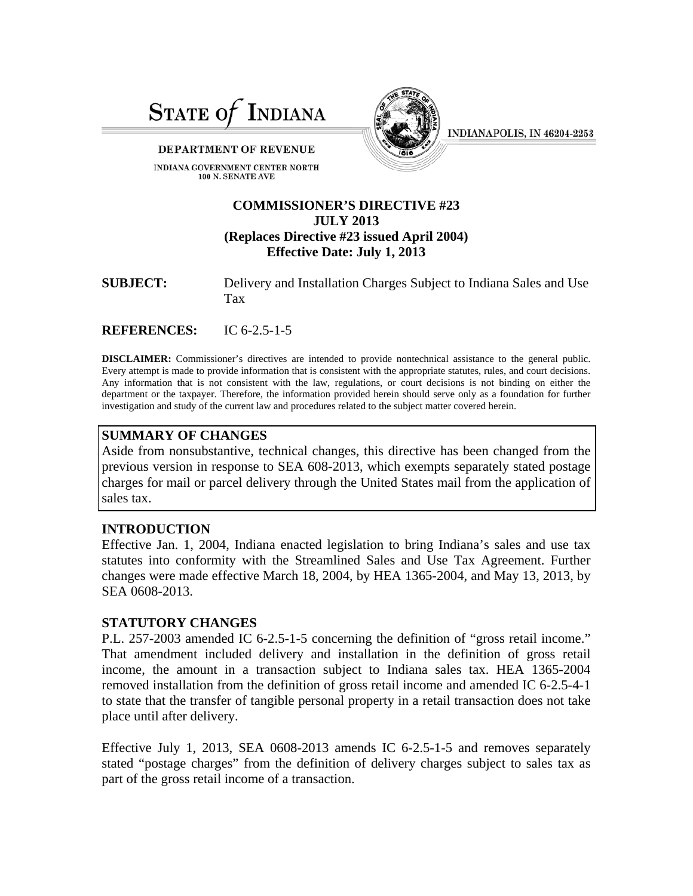

#### DEPARTMENT OF REVENUE

INDIANA GOVERNMENT CENTER NORTH 100 N. SENATE AVE



INDIANAPOLIS, IN 46204-2253

# **COMMISSIONER'S DIRECTIVE #23 JULY 2013 (Replaces Directive #23 issued April 2004) Effective Date: July 1, 2013**

| <b>SUBJECT:</b> | Delivery and Installation Charges Subject to Indiana Sales and Use |
|-----------------|--------------------------------------------------------------------|
|                 | Tax                                                                |

**REFERENCES:** IC 6-2.5-1-5

**DISCLAIMER:** Commissioner's directives are intended to provide nontechnical assistance to the general public. Every attempt is made to provide information that is consistent with the appropriate statutes, rules, and court decisions. Any information that is not consistent with the law, regulations, or court decisions is not binding on either the department or the taxpayer. Therefore, the information provided herein should serve only as a foundation for further investigation and study of the current law and procedures related to the subject matter covered herein.

#### **SUMMARY OF CHANGES**

Aside from nonsubstantive, technical changes, this directive has been changed from the previous version in response to SEA 608-2013, which exempts separately stated postage charges for mail or parcel delivery through the United States mail from the application of sales tax.

## **INTRODUCTION**

Effective Jan. 1, 2004, Indiana enacted legislation to bring Indiana's sales and use tax statutes into conformity with the Streamlined Sales and Use Tax Agreement. Further changes were made effective March 18, 2004, by HEA 1365-2004, and May 13, 2013, by SEA 0608-2013.

## **STATUTORY CHANGES**

P.L. 257-2003 amended IC 6-2.5-1-5 concerning the definition of "gross retail income." That amendment included delivery and installation in the definition of gross retail income, the amount in a transaction subject to Indiana sales tax. HEA 1365-2004 removed installation from the definition of gross retail income and amended IC 6-2.5-4-1 to state that the transfer of tangible personal property in a retail transaction does not take place until after delivery.

Effective July 1, 2013, SEA 0608-2013 amends IC 6-2.5-1-5 and removes separately stated "postage charges" from the definition of delivery charges subject to sales tax as part of the gross retail income of a transaction.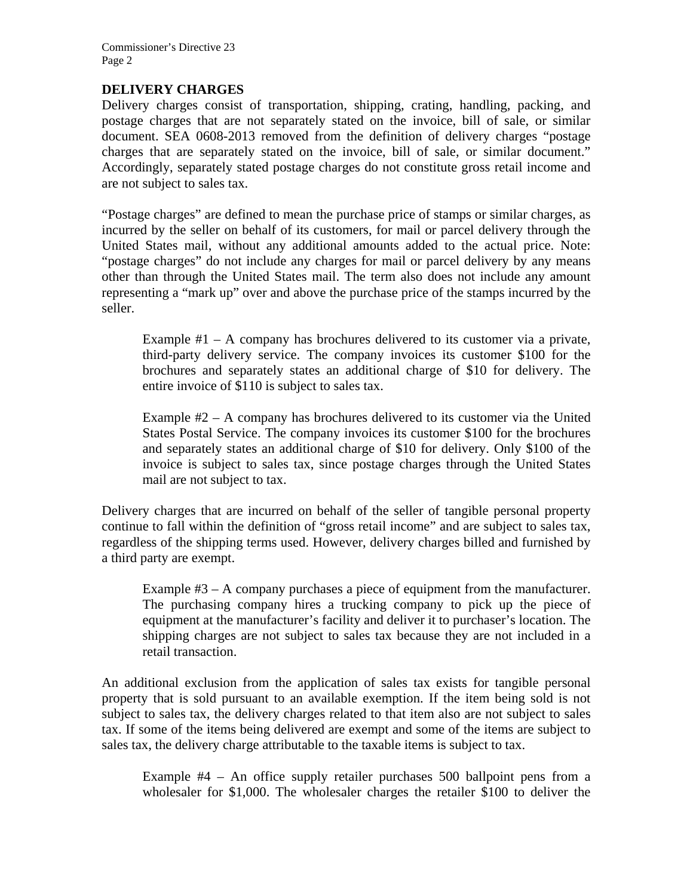Commissioner's Directive 23 Page 2

## **DELIVERY CHARGES**

Delivery charges consist of transportation, shipping, crating, handling, packing, and postage charges that are not separately stated on the invoice, bill of sale, or similar document. SEA 0608-2013 removed from the definition of delivery charges "postage charges that are separately stated on the invoice, bill of sale, or similar document." Accordingly, separately stated postage charges do not constitute gross retail income and are not subject to sales tax.

"Postage charges" are defined to mean the purchase price of stamps or similar charges, as incurred by the seller on behalf of its customers, for mail or parcel delivery through the United States mail, without any additional amounts added to the actual price. Note: "postage charges" do not include any charges for mail or parcel delivery by any means other than through the United States mail. The term also does not include any amount representing a "mark up" over and above the purchase price of the stamps incurred by the seller.

Example  $#1 - A$  company has brochures delivered to its customer via a private, third-party delivery service. The company invoices its customer \$100 for the brochures and separately states an additional charge of \$10 for delivery. The entire invoice of \$110 is subject to sales tax.

Example  $#2 - A$  company has brochures delivered to its customer via the United States Postal Service. The company invoices its customer \$100 for the brochures and separately states an additional charge of \$10 for delivery. Only \$100 of the invoice is subject to sales tax, since postage charges through the United States mail are not subject to tax.

Delivery charges that are incurred on behalf of the seller of tangible personal property continue to fall within the definition of "gross retail income" and are subject to sales tax, regardless of the shipping terms used. However, delivery charges billed and furnished by a third party are exempt.

Example #3 – A company purchases a piece of equipment from the manufacturer. The purchasing company hires a trucking company to pick up the piece of equipment at the manufacturer's facility and deliver it to purchaser's location. The shipping charges are not subject to sales tax because they are not included in a retail transaction.

An additional exclusion from the application of sales tax exists for tangible personal property that is sold pursuant to an available exemption. If the item being sold is not subject to sales tax, the delivery charges related to that item also are not subject to sales tax. If some of the items being delivered are exempt and some of the items are subject to sales tax, the delivery charge attributable to the taxable items is subject to tax.

Example #4 – An office supply retailer purchases 500 ballpoint pens from a wholesaler for \$1,000. The wholesaler charges the retailer \$100 to deliver the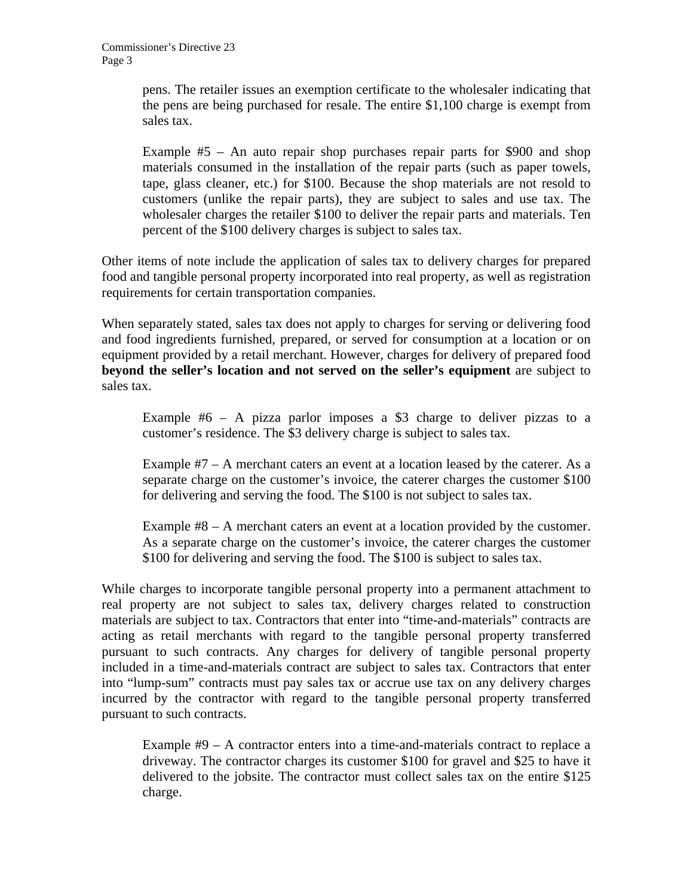pens. The retailer issues an exemption certificate to the wholesaler indicating that the pens are being purchased for resale. The entire \$1,100 charge is exempt from sales tax.

Example  $#5$  – An auto repair shop purchases repair parts for \$900 and shop materials consumed in the installation of the repair parts (such as paper towels, tape, glass cleaner, etc.) for \$100. Because the shop materials are not resold to customers (unlike the repair parts), they are subject to sales and use tax. The wholesaler charges the retailer \$100 to deliver the repair parts and materials. Ten percent of the \$100 delivery charges is subject to sales tax.

Other items of note include the application of sales tax to delivery charges for prepared food and tangible personal property incorporated into real property, as well as registration requirements for certain transportation companies.

When separately stated, sales tax does not apply to charges for serving or delivering food and food ingredients furnished, prepared, or served for consumption at a location or on equipment provided by a retail merchant. However, charges for delivery of prepared food **beyond the seller's location and not served on the seller's equipment** are subject to sales tax.

Example #6 – A pizza parlor imposes a \$3 charge to deliver pizzas to a customer's residence. The \$3 delivery charge is subject to sales tax.

Example  $#7 - A$  merchant caters an event at a location leased by the caterer. As a separate charge on the customer's invoice, the caterer charges the customer \$100 for delivering and serving the food. The \$100 is not subject to sales tax.

Example #8 – A merchant caters an event at a location provided by the customer. As a separate charge on the customer's invoice, the caterer charges the customer \$100 for delivering and serving the food. The \$100 is subject to sales tax.

While charges to incorporate tangible personal property into a permanent attachment to real property are not subject to sales tax, delivery charges related to construction materials are subject to tax. Contractors that enter into "time-and-materials" contracts are acting as retail merchants with regard to the tangible personal property transferred pursuant to such contracts. Any charges for delivery of tangible personal property included in a time-and-materials contract are subject to sales tax. Contractors that enter into "lump-sum" contracts must pay sales tax or accrue use tax on any delivery charges incurred by the contractor with regard to the tangible personal property transferred pursuant to such contracts.

Example #9 – A contractor enters into a time-and-materials contract to replace a driveway. The contractor charges its customer \$100 for gravel and \$25 to have it delivered to the jobsite. The contractor must collect sales tax on the entire \$125 charge.